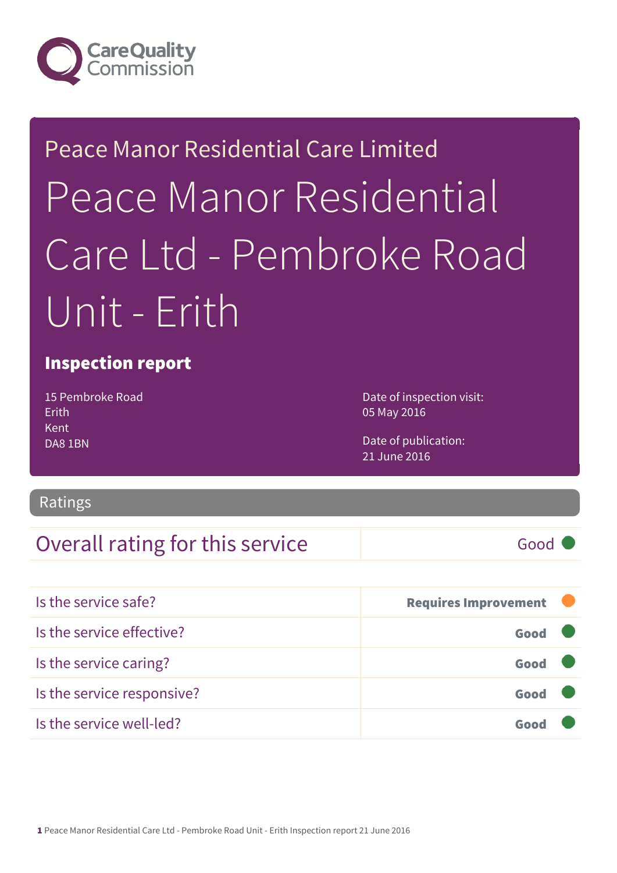

# Peace Manor Residential Care Limited Peace Manor Residential Care Ltd - Pembroke Road Unit - Erith

#### Inspection report

15 Pembroke Road Erith Kent DA8 1BN

Date of inspection visit: 05 May 2016

Date of publication: 21 June 2016

#### Ratings

#### Overall rating for this service and a service of Good

| Is the service safe?       | <b>Requires Improvement</b> |  |
|----------------------------|-----------------------------|--|
| Is the service effective?  | Good                        |  |
| Is the service caring?     | Good                        |  |
| Is the service responsive? | Good                        |  |
| Is the service well-led?   |                             |  |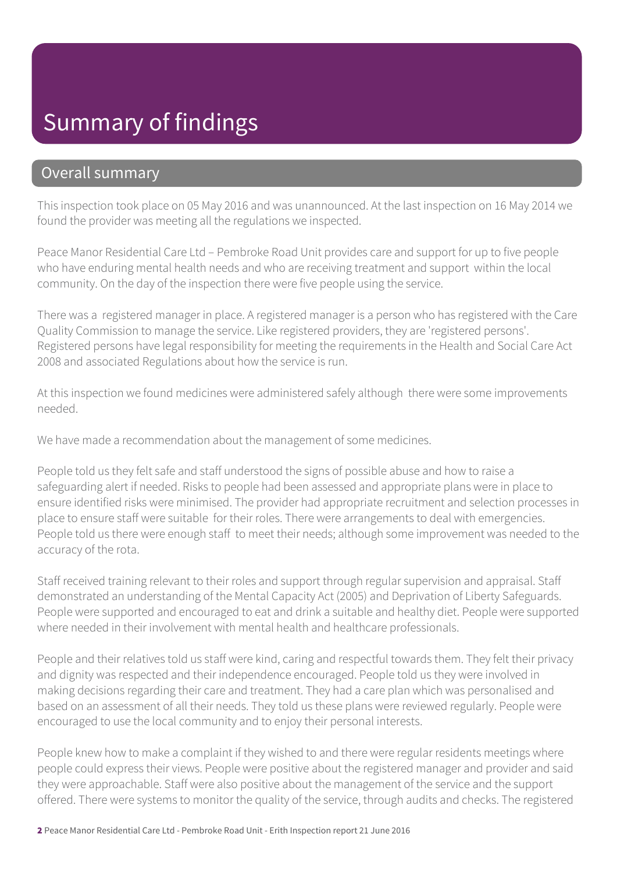## Summary of findings

#### Overall summary

This inspection took place on 05 May 2016 and was unannounced. At the last inspection on 16 May 2014 we found the provider was meeting all the regulations we inspected.

Peace Manor Residential Care Ltd – Pembroke Road Unit provides care and support for up to five people who have enduring mental health needs and who are receiving treatment and support within the local community. On the day of the inspection there were five people using the service.

There was a registered manager in place. A registered manager is a person who has registered with the Care Quality Commission to manage the service. Like registered providers, they are 'registered persons'. Registered persons have legal responsibility for meeting the requirements in the Health and Social Care Act 2008 and associated Regulations about how the service is run.

At this inspection we found medicines were administered safely although there were some improvements needed.

We have made a recommendation about the management of some medicines.

People told us they felt safe and staff understood the signs of possible abuse and how to raise a safeguarding alert if needed. Risks to people had been assessed and appropriate plans were in place to ensure identified risks were minimised. The provider had appropriate recruitment and selection processes in place to ensure staff were suitable for their roles. There were arrangements to deal with emergencies. People told us there were enough staff to meet their needs; although some improvement was needed to the accuracy of the rota.

Staff received training relevant to their roles and support through regular supervision and appraisal. Staff demonstrated an understanding of the Mental Capacity Act (2005) and Deprivation of Liberty Safeguards. People were supported and encouraged to eat and drink a suitable and healthy diet. People were supported where needed in their involvement with mental health and healthcare professionals.

People and their relatives told us staff were kind, caring and respectful towards them. They felt their privacy and dignity was respected and their independence encouraged. People told us they were involved in making decisions regarding their care and treatment. They had a care plan which was personalised and based on an assessment of all their needs. They told us these plans were reviewed regularly. People were encouraged to use the local community and to enjoy their personal interests.

People knew how to make a complaint if they wished to and there were regular residents meetings where people could express their views. People were positive about the registered manager and provider and said they were approachable. Staff were also positive about the management of the service and the support offered. There were systems to monitor the quality of the service, through audits and checks. The registered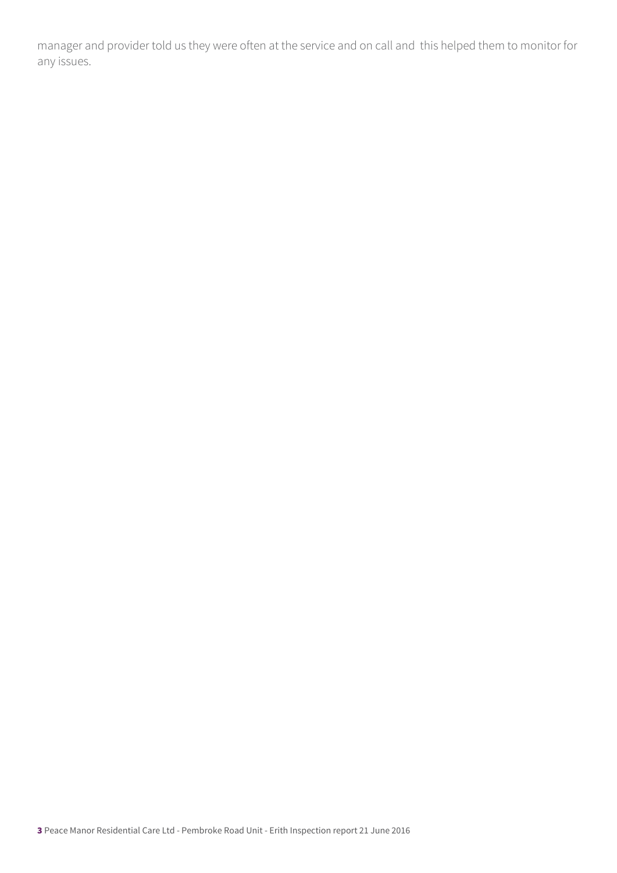manager and provider told us they were often at the service and on call and this helped them to monitor for any issues.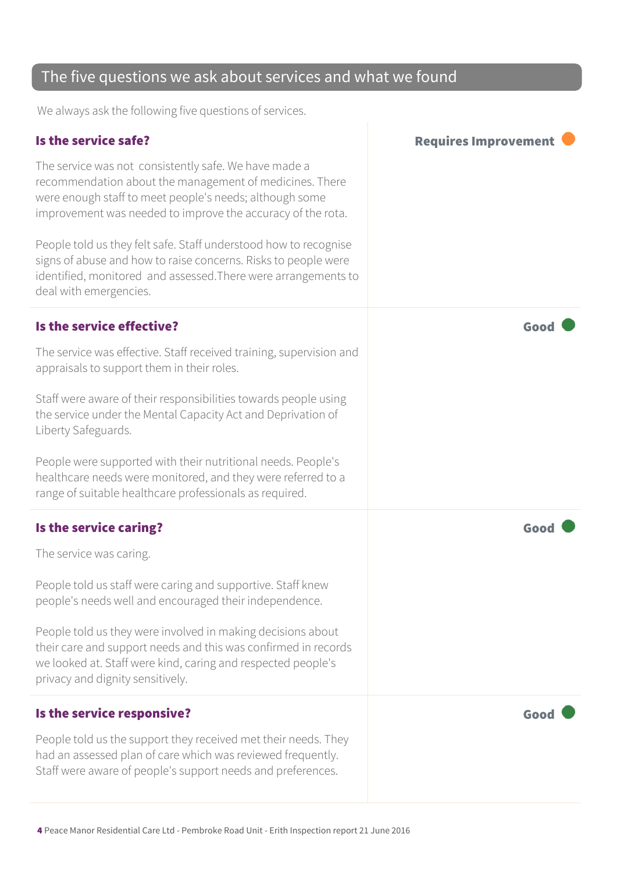#### The five questions we ask about services and what we found

We always ask the following five questions of services.

#### Is the service safe? In the service safe? The service was not consistently safe. We have made a recommendation about the management of medicines. There were enough staff to meet people's needs; although some improvement was needed to improve the accuracy of the rota. People told us they felt safe. Staff understood how to recognise signs of abuse and how to raise concerns. Risks to people were identified, monitored and assessed.There were arrangements to deal with emergencies. Is the service effective?  $\blacksquare$ The service was effective. Staff received training, supervision and appraisals to support them in their roles. Staff were aware of their responsibilities towards people using the service under the Mental Capacity Act and Deprivation of Liberty Safeguards. People were supported with their nutritional needs. People's healthcare needs were monitored, and they were referred to a range of suitable healthcare professionals as required.

#### Is the service caring? The service caring?

The service was caring.

People told us staff were caring and supportive. Staff knew people's needs well and encouraged their independence.

People told us they were involved in making decisions about their care and support needs and this was confirmed in records we looked at. Staff were kind, caring and respected people's privacy and dignity sensitively.

#### Is the service responsive? The service responsive?

People told us the support they received met their needs. They had an assessed plan of care which was reviewed frequently. Staff were aware of people's support needs and preferences.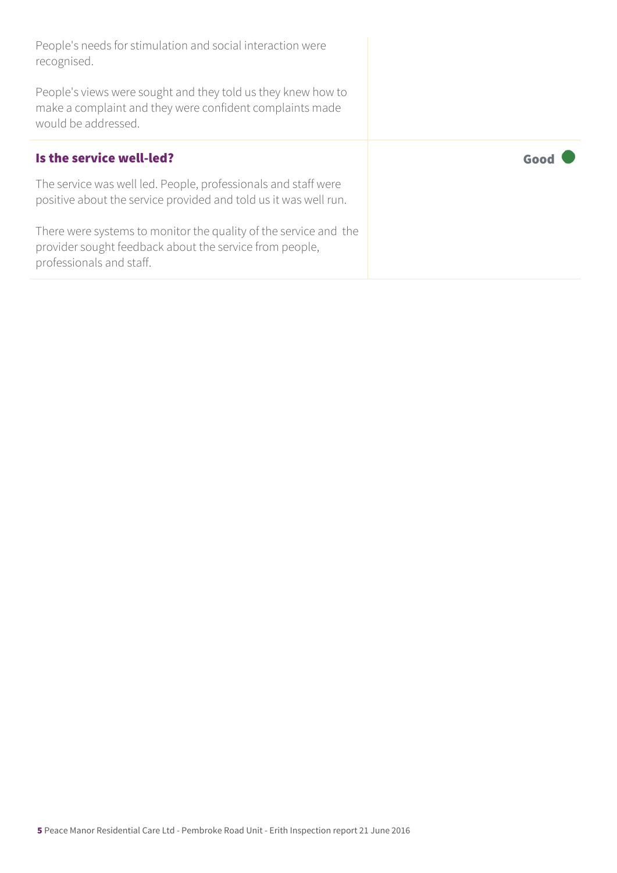People's needs for stimulation and social interaction were recognised.

People's views were sought and they told us they knew how to make a complaint and they were confident complaints made would be addressed.

#### Is the service well-led? The service well-led?

The service was well led. People, professionals and staff were positive about the service provided and told us it was well run.

There were systems to monitor the quality of the service and the provider sought feedback about the service from people, professionals and staff.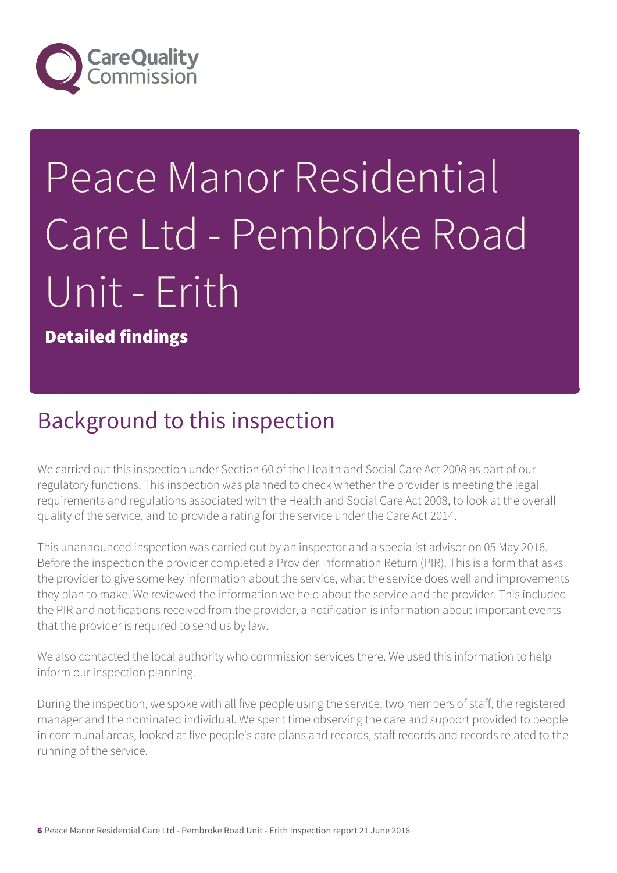

# Peace Manor Residential Care Ltd - Pembroke Road Unit - Erith

Detailed findings

### Background to this inspection

We carried out this inspection under Section 60 of the Health and Social Care Act 2008 as part of our regulatory functions. This inspection was planned to check whether the provider is meeting the legal requirements and regulations associated with the Health and Social Care Act 2008, to look at the overall quality of the service, and to provide a rating for the service under the Care Act 2014.

This unannounced inspection was carried out by an inspector and a specialist advisor on 05 May 2016. Before the inspection the provider completed a Provider Information Return (PIR). This is a form that asks the provider to give some key information about the service, what the service does well and improvements they plan to make. We reviewed the information we held about the service and the provider. This included the PIR and notifications received from the provider, a notification is information about important events that the provider is required to send us by law.

We also contacted the local authority who commission services there. We used this information to help inform our inspection planning.

During the inspection, we spoke with all five people using the service, two members of staff, the registered manager and the nominated individual. We spent time observing the care and support provided to people in communal areas, looked at five people's care plans and records, staff records and records related to the running of the service.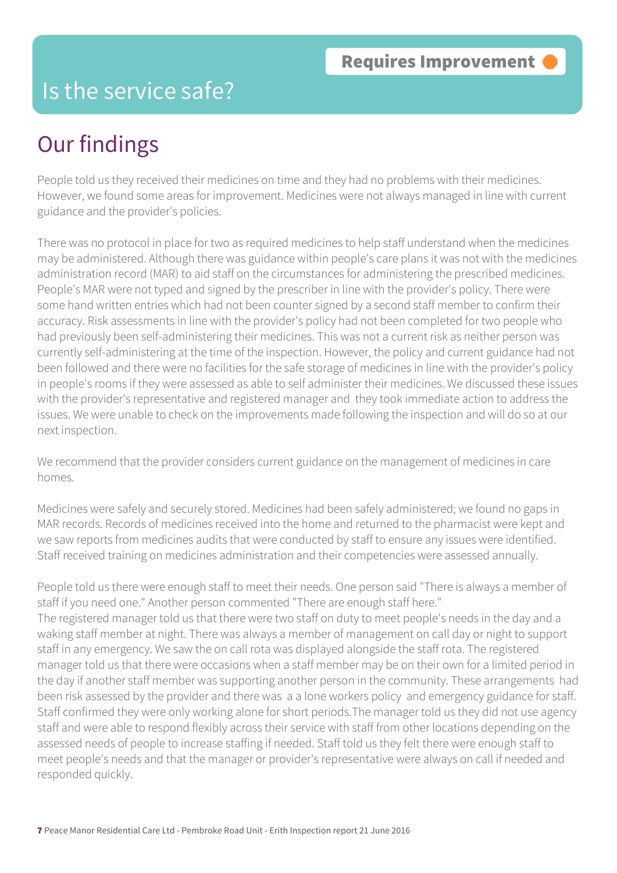#### Is the service safe?

## Our findings

People told us they received their medicines on time and they had no problems with their medicines. However, we found some areas for improvement. Medicines were not always managed in line with current guidance and the provider's policies.

There was no protocol in place for two as required medicines to help staff understand when the medicines may be administered. Although there was guidance within people's care plans it was not with the medicines administration record (MAR) to aid staff on the circumstances for administering the prescribed medicines. People's MAR were not typed and signed by the prescriber in line with the provider's policy. There were some hand written entries which had not been counter signed by a second staff member to confirm their accuracy. Risk assessments in line with the provider's policy had not been completed for two people who had previously been self-administering their medicines. This was not a current risk as neither person was currently self-administering at the time of the inspection. However, the policy and current guidance had not been followed and there were no facilities for the safe storage of medicines in line with the provider's policy in people's rooms if they were assessed as able to self administer their medicines. We discussed these issues with the provider's representative and registered manager and they took immediate action to address the issues. We were unable to check on the improvements made following the inspection and will do so at our next inspection.

We recommend that the provider considers current guidance on the management of medicines in care homes.

Medicines were safely and securely stored. Medicines had been safely administered; we found no gaps in MAR records. Records of medicines received into the home and returned to the pharmacist were kept and we saw reports from medicines audits that were conducted by staff to ensure any issues were identified. Staff received training on medicines administration and their competencies were assessed annually.

People told us there were enough staff to meet their needs. One person said "There is always a member of staff if you need one." Another person commented "There are enough staff here." The registered manager told us that there were two staff on duty to meet people's needs in the day and a waking staff member at night. There was always a member of management on call day or night to support staff in any emergency. We saw the on call rota was displayed alongside the staff rota. The registered manager told us that there were occasions when a staff member may be on their own for a limited period in the day if another staff member was supporting another person in the community. These arrangements had been risk assessed by the provider and there was a a lone workers policy and emergency guidance for staff. Staff confirmed they were only working alone for short periods.The manager told us they did not use agency staff and were able to respond flexibly across their service with staff from other locations depending on the assessed needs of people to increase staffing if needed. Staff told us they felt there were enough staff to meet people's needs and that the manager or provider's representative were always on call if needed and responded quickly.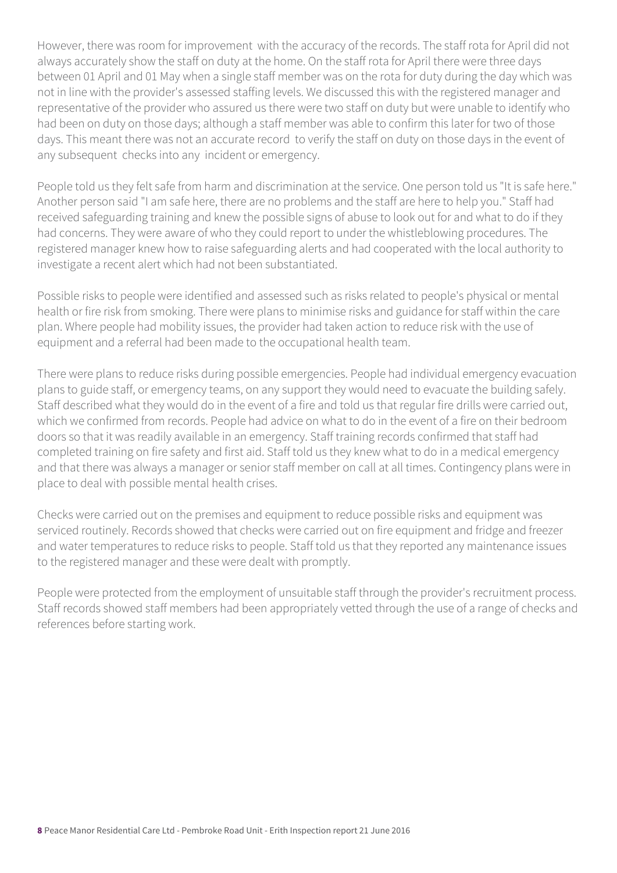However, there was room for improvement with the accuracy of the records. The staff rota for April did not always accurately show the staff on duty at the home. On the staff rota for April there were three days between 01 April and 01 May when a single staff member was on the rota for duty during the day which was not in line with the provider's assessed staffing levels. We discussed this with the registered manager and representative of the provider who assured us there were two staff on duty but were unable to identify who had been on duty on those days; although a staff member was able to confirm this later for two of those days. This meant there was not an accurate record to verify the staff on duty on those days in the event of any subsequent checks into any incident or emergency.

People told us they felt safe from harm and discrimination at the service. One person told us "It is safe here." Another person said "I am safe here, there are no problems and the staff are here to help you." Staff had received safeguarding training and knew the possible signs of abuse to look out for and what to do if they had concerns. They were aware of who they could report to under the whistleblowing procedures. The registered manager knew how to raise safeguarding alerts and had cooperated with the local authority to investigate a recent alert which had not been substantiated.

Possible risks to people were identified and assessed such as risks related to people's physical or mental health or fire risk from smoking. There were plans to minimise risks and guidance for staff within the care plan. Where people had mobility issues, the provider had taken action to reduce risk with the use of equipment and a referral had been made to the occupational health team.

There were plans to reduce risks during possible emergencies. People had individual emergency evacuation plans to guide staff, or emergency teams, on any support they would need to evacuate the building safely. Staff described what they would do in the event of a fire and told us that regular fire drills were carried out, which we confirmed from records. People had advice on what to do in the event of a fire on their bedroom doors so that it was readily available in an emergency. Staff training records confirmed that staff had completed training on fire safety and first aid. Staff told us they knew what to do in a medical emergency and that there was always a manager or senior staff member on call at all times. Contingency plans were in place to deal with possible mental health crises.

Checks were carried out on the premises and equipment to reduce possible risks and equipment was serviced routinely. Records showed that checks were carried out on fire equipment and fridge and freezer and water temperatures to reduce risks to people. Staff told us that they reported any maintenance issues to the registered manager and these were dealt with promptly.

People were protected from the employment of unsuitable staff through the provider's recruitment process. Staff records showed staff members had been appropriately vetted through the use of a range of checks and references before starting work.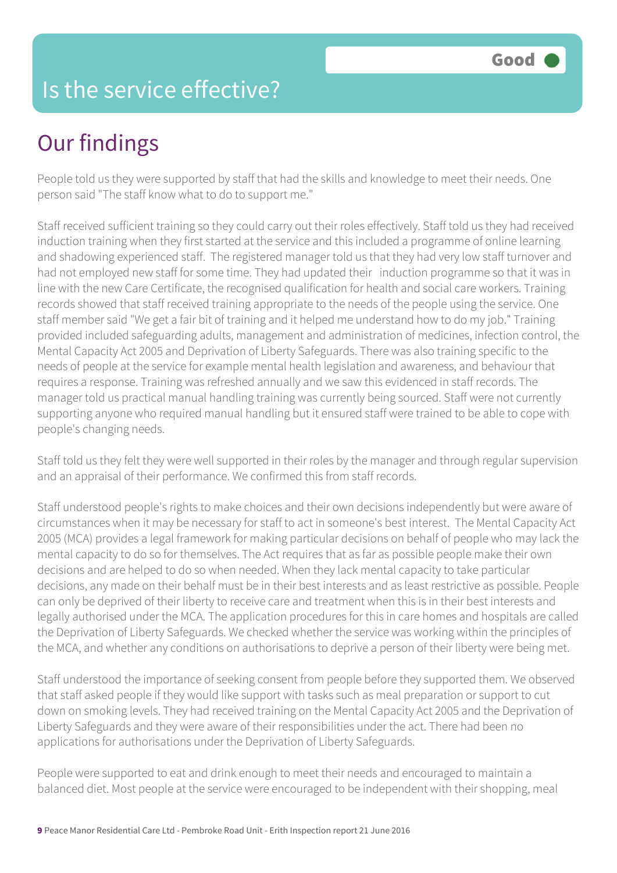## Is the service effective?

# Our findings

People told us they were supported by staff that had the skills and knowledge to meet their needs. One person said "The staff know what to do to support me."

Staff received sufficient training so they could carry out their roles effectively. Staff told us they had received induction training when they first started at the service and this included a programme of online learning and shadowing experienced staff. The registered manager told us that they had very low staff turnover and had not employed new staff for some time. They had updated their induction programme so that it was in line with the new Care Certificate, the recognised qualification for health and social care workers. Training records showed that staff received training appropriate to the needs of the people using the service. One staff member said "We get a fair bit of training and it helped me understand how to do my job." Training provided included safeguarding adults, management and administration of medicines, infection control, the Mental Capacity Act 2005 and Deprivation of Liberty Safeguards. There was also training specific to the needs of people at the service for example mental health legislation and awareness, and behaviour that requires a response. Training was refreshed annually and we saw this evidenced in staff records. The manager told us practical manual handling training was currently being sourced. Staff were not currently supporting anyone who required manual handling but it ensured staff were trained to be able to cope with people's changing needs.

Staff told us they felt they were well supported in their roles by the manager and through regular supervision and an appraisal of their performance. We confirmed this from staff records.

Staff understood people's rights to make choices and their own decisions independently but were aware of circumstances when it may be necessary for staff to act in someone's best interest. The Mental Capacity Act 2005 (MCA) provides a legal framework for making particular decisions on behalf of people who may lack the mental capacity to do so for themselves. The Act requires that as far as possible people make their own decisions and are helped to do so when needed. When they lack mental capacity to take particular decisions, any made on their behalf must be in their best interests and as least restrictive as possible. People can only be deprived of their liberty to receive care and treatment when this is in their best interests and legally authorised under the MCA. The application procedures for this in care homes and hospitals are called the Deprivation of Liberty Safeguards. We checked whether the service was working within the principles of the MCA, and whether any conditions on authorisations to deprive a person of their liberty were being met.

Staff understood the importance of seeking consent from people before they supported them. We observed that staff asked people if they would like support with tasks such as meal preparation or support to cut down on smoking levels. They had received training on the Mental Capacity Act 2005 and the Deprivation of Liberty Safeguards and they were aware of their responsibilities under the act. There had been no applications for authorisations under the Deprivation of Liberty Safeguards.

People were supported to eat and drink enough to meet their needs and encouraged to maintain a balanced diet. Most people at the service were encouraged to be independent with their shopping, meal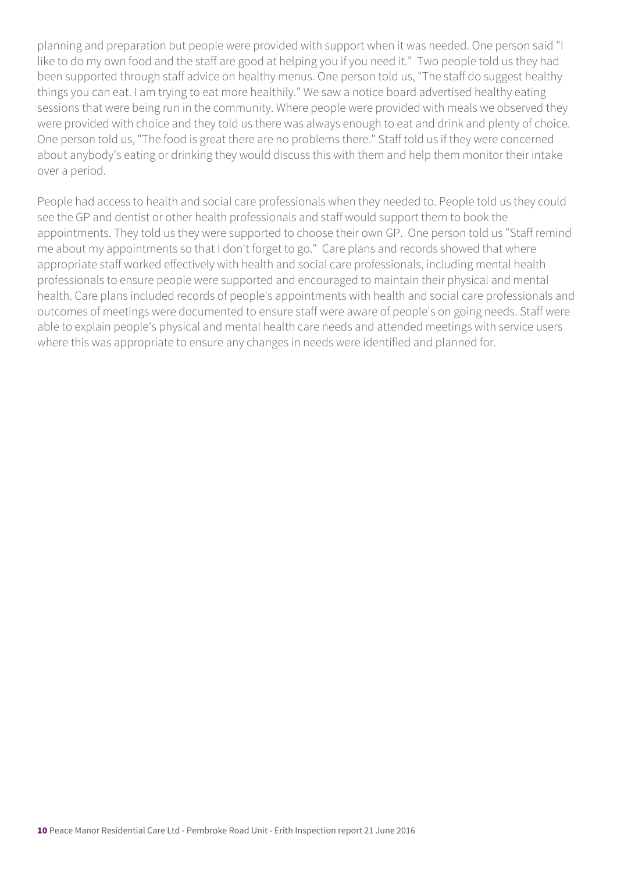planning and preparation but people were provided with support when it was needed. One person said "I like to do my own food and the staff are good at helping you if you need it." Two people told us they had been supported through staff advice on healthy menus. One person told us, "The staff do suggest healthy things you can eat. I am trying to eat more healthily." We saw a notice board advertised healthy eating sessions that were being run in the community. Where people were provided with meals we observed they were provided with choice and they told us there was always enough to eat and drink and plenty of choice. One person told us, "The food is great there are no problems there." Staff told us if they were concerned about anybody's eating or drinking they would discuss this with them and help them monitor their intake over a period.

People had access to health and social care professionals when they needed to. People told us they could see the GP and dentist or other health professionals and staff would support them to book the appointments. They told us they were supported to choose their own GP. One person told us "Staff remind me about my appointments so that I don't forget to go." Care plans and records showed that where appropriate staff worked effectively with health and social care professionals, including mental health professionals to ensure people were supported and encouraged to maintain their physical and mental health. Care plans included records of people's appointments with health and social care professionals and outcomes of meetings were documented to ensure staff were aware of people's on going needs. Staff were able to explain people's physical and mental health care needs and attended meetings with service users where this was appropriate to ensure any changes in needs were identified and planned for.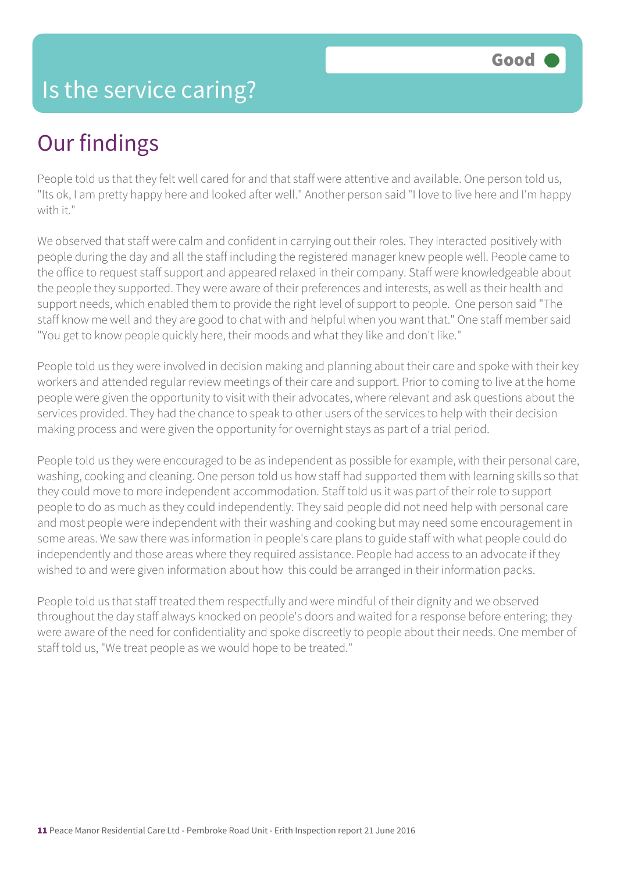### Is the service caring?

## Our findings

People told us that they felt well cared for and that staff were attentive and available. One person told us, "Its ok, I am pretty happy here and looked after well." Another person said "I love to live here and I'm happy with it."

We observed that staff were calm and confident in carrying out their roles. They interacted positively with people during the day and all the staff including the registered manager knew people well. People came to the office to request staff support and appeared relaxed in their company. Staff were knowledgeable about the people they supported. They were aware of their preferences and interests, as well as their health and support needs, which enabled them to provide the right level of support to people. One person said "The staff know me well and they are good to chat with and helpful when you want that." One staff member said "You get to know people quickly here, their moods and what they like and don't like."

People told us they were involved in decision making and planning about their care and spoke with their key workers and attended regular review meetings of their care and support. Prior to coming to live at the home people were given the opportunity to visit with their advocates, where relevant and ask questions about the services provided. They had the chance to speak to other users of the services to help with their decision making process and were given the opportunity for overnight stays as part of a trial period.

People told us they were encouraged to be as independent as possible for example, with their personal care, washing, cooking and cleaning. One person told us how staff had supported them with learning skills so that they could move to more independent accommodation. Staff told us it was part of their role to support people to do as much as they could independently. They said people did not need help with personal care and most people were independent with their washing and cooking but may need some encouragement in some areas. We saw there was information in people's care plans to guide staff with what people could do independently and those areas where they required assistance. People had access to an advocate if they wished to and were given information about how this could be arranged in their information packs.

People told us that staff treated them respectfully and were mindful of their dignity and we observed throughout the day staff always knocked on people's doors and waited for a response before entering; they were aware of the need for confidentiality and spoke discreetly to people about their needs. One member of staff told us, "We treat people as we would hope to be treated."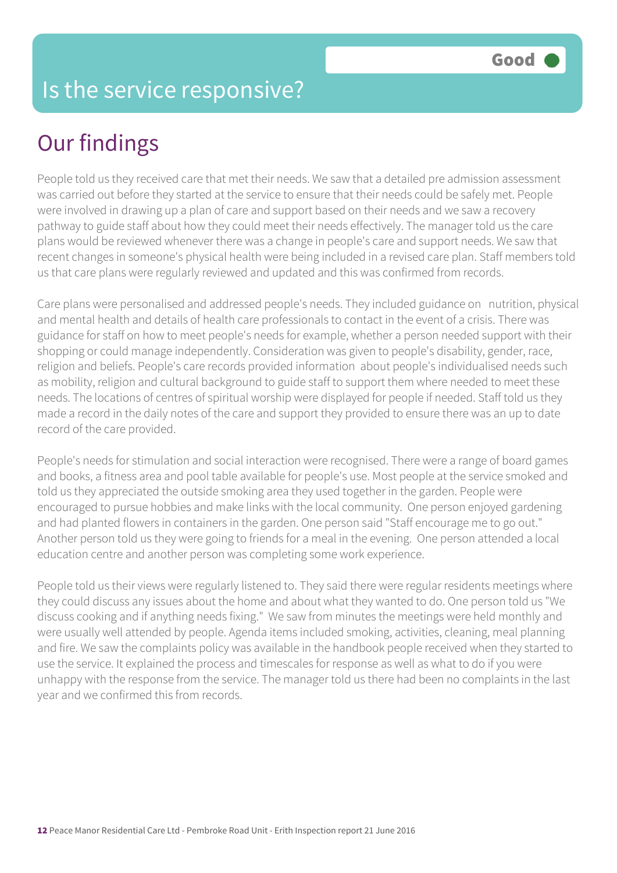### Is the service responsive?

# Our findings

People told us they received care that met their needs. We saw that a detailed pre admission assessment was carried out before they started at the service to ensure that their needs could be safely met. People were involved in drawing up a plan of care and support based on their needs and we saw a recovery pathway to guide staff about how they could meet their needs effectively. The manager told us the care plans would be reviewed whenever there was a change in people's care and support needs. We saw that recent changes in someone's physical health were being included in a revised care plan. Staff members told us that care plans were regularly reviewed and updated and this was confirmed from records.

Care plans were personalised and addressed people's needs. They included guidance on nutrition, physical and mental health and details of health care professionals to contact in the event of a crisis. There was guidance for staff on how to meet people's needs for example, whether a person needed support with their shopping or could manage independently. Consideration was given to people's disability, gender, race, religion and beliefs. People's care records provided information about people's individualised needs such as mobility, religion and cultural background to guide staff to support them where needed to meet these needs. The locations of centres of spiritual worship were displayed for people if needed. Staff told us they made a record in the daily notes of the care and support they provided to ensure there was an up to date record of the care provided.

People's needs for stimulation and social interaction were recognised. There were a range of board games and books, a fitness area and pool table available for people's use. Most people at the service smoked and told us they appreciated the outside smoking area they used together in the garden. People were encouraged to pursue hobbies and make links with the local community. One person enjoyed gardening and had planted flowers in containers in the garden. One person said "Staff encourage me to go out." Another person told us they were going to friends for a meal in the evening. One person attended a local education centre and another person was completing some work experience.

People told us their views were regularly listened to. They said there were regular residents meetings where they could discuss any issues about the home and about what they wanted to do. One person told us "We discuss cooking and if anything needs fixing." We saw from minutes the meetings were held monthly and were usually well attended by people. Agenda items included smoking, activities, cleaning, meal planning and fire. We saw the complaints policy was available in the handbook people received when they started to use the service. It explained the process and timescales for response as well as what to do if you were unhappy with the response from the service. The manager told us there had been no complaints in the last year and we confirmed this from records.